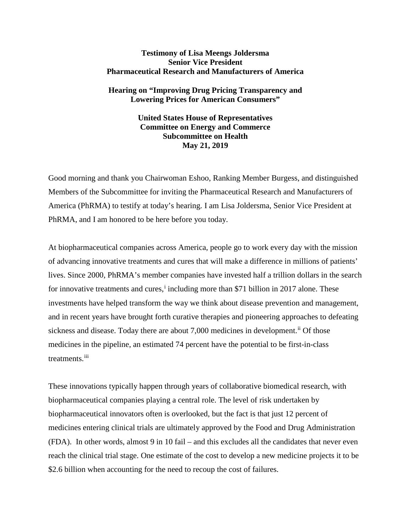# **Testimony of Lisa Meengs Joldersma Senior Vice President Pharmaceutical Research and Manufacturers of America**

# **Hearing on "Improving Drug Pricing Transparency and Lowering Prices for American Consumers"**

**United States House of Representatives Committee on Energy and Commerce Subcommittee on Health May 21, 2019**

Good morning and thank you Chairwoman Eshoo, Ranking Member Burgess, and distinguished Members of the Subcommittee for inviting the Pharmaceutical Research and Manufacturers of America (PhRMA) to testify at today's hearing. I am Lisa Joldersma, Senior Vice President at PhRMA, and I am honored to be here before you today.

At biopharmaceutical companies across America, people go to work every day with the mission of advancing innovative treatments and cures that will make a difference in millions of patients' lives. Since 2000, PhRMA's member companies have invested half a trillion dollars in the search for [i](#page-7-0)nnovative treatments and cures,<sup>i</sup> including more than \$71 billion in 2017 alone. These investments have helped transform the way we think about disease prevention and management, and in recent years have brought forth curative therapies and pioneering approaches to defeating sickness and disease. Today there are about 7,000 medicines in development.<sup>[ii](#page-7-1)</sup> Of those medicines in the pipeline, an estimated 74 percent have the potential to be first-in-class treatments.<sup>[iii](#page-7-2)</sup>

These innovations typically happen through years of collaborative biomedical research, with biopharmaceutical companies playing a central role. The level of risk undertaken by biopharmaceutical innovators often is overlooked, but the fact is that just 12 percent of medicines entering clinical trials are ultimately approved by the Food and Drug Administration (FDA). In other words, almost 9 in 10 fail – and this excludes all the candidates that never even reach the clinical trial stage. One estimate of the cost to develop a new medicine projects it to be \$2.6 billion when accounting for the need to recoup the cost of failures.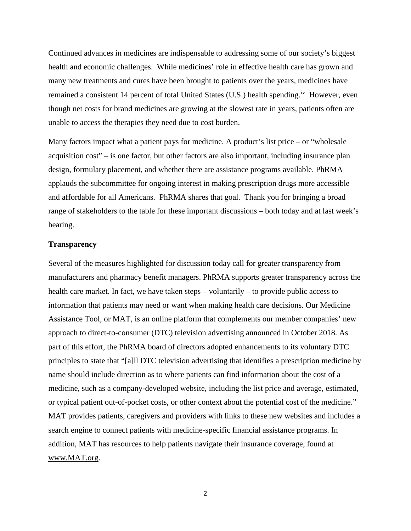Continued advances in medicines are indispensable to addressing some of our society's biggest health and economic challenges. While medicines' role in effective health care has grown and many new treatments and cures have been brought to patients over the years, medicines have remained a consistent 14 percent of total United States (U.S.) health spending.<sup>iv</sup> However, even though net costs for brand medicines are growing at the slowest rate in years, patients often are unable to access the therapies they need due to cost burden.

Many factors impact what a patient pays for medicine. A product's list price – or "wholesale" acquisition cost" – is one factor, but other factors are also important, including insurance plan design, formulary placement, and whether there are assistance programs available. PhRMA applauds the subcommittee for ongoing interest in making prescription drugs more accessible and affordable for all Americans. PhRMA shares that goal. Thank you for bringing a broad range of stakeholders to the table for these important discussions – both today and at last week's hearing.

### **Transparency**

Several of the measures highlighted for discussion today call for greater transparency from manufacturers and pharmacy benefit managers. PhRMA supports greater transparency across the health care market. In fact, we have taken steps – voluntarily – to provide public access to information that patients may need or want when making health care decisions. Our Medicine Assistance Tool, or MAT, is an online platform that complements our member companies' [new](https://www.phrma.org/press-release/phrma-members-take-new-approach-to-dtc-television-advertising)  [approach to direct-to-consumer \(DTC\) television advertising](https://www.phrma.org/press-release/phrma-members-take-new-approach-to-dtc-television-advertising) announced in October 2018. As part of this effort, the PhRMA board of directors adopted enhancements to its voluntary DTC principles to state that "[a]ll DTC television advertising that identifies a prescription medicine by name should include direction as to where patients can find information about the cost of a medicine, such as a company-developed website, including the list price and average, estimated, or typical patient out-of-pocket costs, or other context about the potential cost of the medicine." MAT provides patients, caregivers and providers with links to these new websites and includes a search engine to connect patients with medicine-specific financial assistance programs. In addition, MAT has resources to help patients navigate their insurance coverage, found at [www.MAT.org.](http://www.mat.org/)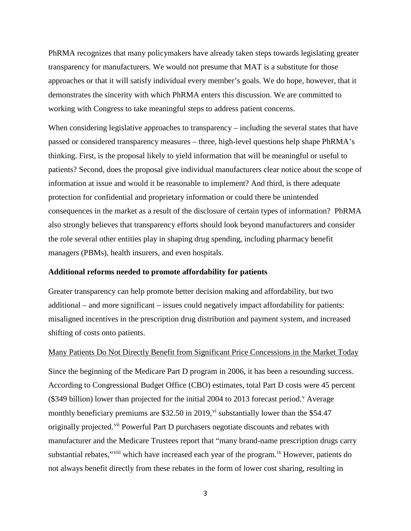PhRMA recognizes that many policymakers have already taken steps towards legislating greater transparency for manufacturers. We would not presume that MAT is a substitute for those approaches or that it will satisfy individual every member's goals. We do hope, however, that it demonstrates the sincerity with which PhRMA enters this discussion. We are committed to working with Congress to take meaningful steps to address patient concerns.

When considering legislative approaches to transparency – including the several states that have passed or considered transparency measures – three, high-level questions help shape PhRMA's thinking. First, is the proposal likely to yield information that will be meaningful or useful to patients? Second, does the proposal give individual manufacturers clear notice about the scope of information at issue and would it be reasonable to implement? And third, is there adequate protection for confidential and proprietary information or could there be unintended consequences in the market as a result of the disclosure of certain types of information? PhRMA also strongly believes that transparency efforts should look beyond manufacturers and consider the role several other entities play in shaping drug spending, including pharmacy benefit managers (PBMs), health insurers, and even hospitals.

#### **Additional reforms needed to promote affordability for patients**

Greater transparency can help promote better decision making and affordability, but two additional – and more significant – issues could negatively impact affordability for patients: misaligned incentives in the prescription drug distribution and payment system, and increased shifting of costs onto patients.

## Many Patients Do Not Directly Benefit from Significant Price Concessions in the Market Today

Since the beginning of the Medicare Part D program in 2006, it has been a resounding success. According to Congressional Budget Office (CBO) estimates, total Part D costs were 45 percent  $(\$349$  billion) lower than projected for the initial 2004 to 2013 forecast period.<sup>[v](#page-7-4)</sup> Average monthly beneficiary premiums are  $$32.50$  in 2019,<sup>[vi](#page-7-5)</sup> substantially lower than the  $$54.47$ originally projected.<sup>[vii](#page-7-6)</sup> Powerful Part D purchasers negotiate discounts and rebates with manufacturer and the Medicare Trustees report that "many brand-name prescription drugs carry substantial rebates,"<sup>[viii](#page-7-7)</sup> which have increased each year of the program.<sup>[ix](#page-7-8)</sup> However, patients do not always benefit directly from these rebates in the form of lower cost sharing, resulting in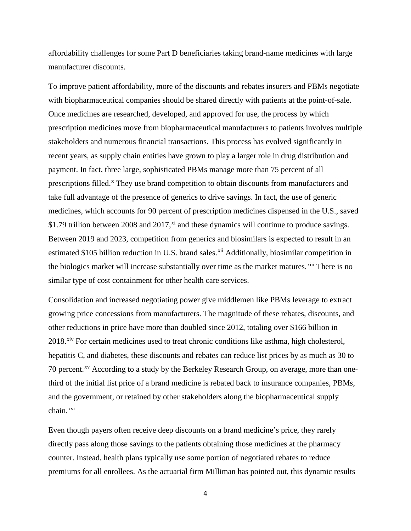affordability challenges for some Part D beneficiaries taking brand-name medicines with large manufacturer discounts.

To improve patient affordability, more of the discounts and rebates insurers and PBMs negotiate with biopharmaceutical companies should be shared directly with patients at the point-of-sale. Once medicines are researched, developed, and approved for use, the process by which prescription medicines move from biopharmaceutical manufacturers to patients involves multiple stakeholders and numerous financial transactions. This process has evolved significantly in recent years, as supply chain entities have grown to play a larger role in drug distribution and payment. In fact, three large, sophisticated PBMs manage more than 75 percent of all prescriptions filled.<sup>[x](#page-7-9)</sup> They use brand competition to obtain discounts from manufacturers and take full advantage of the presence of generics to drive savings. In fact, the use of generic medicines, which accounts for 90 percent of prescription medicines dispensed in the U.S., saved \$1.79 trillion between 2008 and 2017,<sup>[xi](#page-7-10)</sup> and these dynamics will continue to produce savings. Between 2019 and 2023, competition from generics and biosimilars is expected to result in an estimated \$105 billion reduction in U.S. brand sales.<sup>[xii](#page-7-11)</sup> Additionally, biosimilar competition in the biologics market will increase substantially over time as the market matures.<sup>[xiii](#page-7-12)</sup> There is no similar type of cost containment for other health care services.

Consolidation and increased negotiating power give middlemen like PBMs leverage to extract growing price concessions from manufacturers. The magnitude of these rebates, discounts, and other reductions in price have more than doubled since 2012, totaling over \$166 billion in 2018.<sup>[xiv](#page-7-13)</sup> For certain medicines used to treat chronic conditions like asthma, high cholesterol, hepatitis C, and diabetes, these discounts and rebates can reduce list prices by as much as 30 to 70 percent.<sup>[xv](#page-7-14)</sup> According to a study by the Berkeley Research Group, on average, more than onethird of the initial list price of a brand medicine is rebated back to insurance companies, PBMs, and the government, or retained by other stakeholders along the biopharmaceutical supply chain.[xvi](#page-7-15)

Even though payers often receive deep discounts on a brand medicine's price, they rarely directly pass along those savings to the patients obtaining those medicines at the pharmacy counter. Instead, health plans typically use some portion of negotiated rebates to reduce premiums for all enrollees. As the actuarial firm Milliman has pointed out, this dynamic results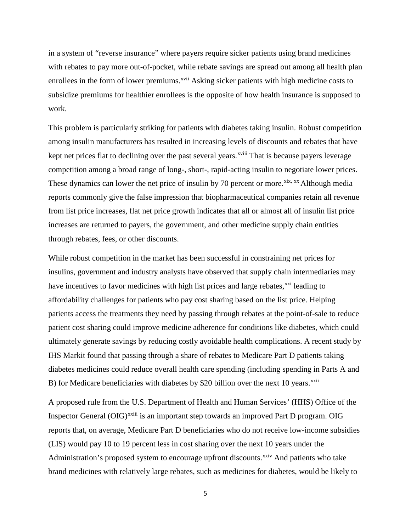in a system of "reverse insurance" where payers require sicker patients using brand medicines with rebates to pay more out-of-pocket, while rebate savings are spread out among all health plan enrollees in the form of lower premiums.<sup>[xvii](#page-7-16)</sup> Asking sicker patients with high medicine costs to subsidize premiums for healthier enrollees is the opposite of how health insurance is supposed to work.

This problem is particularly striking for patients with diabetes taking insulin. Robust competition among insulin manufacturers has resulted in increasing levels of discounts and rebates that have kept net prices flat to declining over the past several years.<sup>xviii</sup> [T](#page-7-17)hat is because payers leverage competition among a broad range of long-, short-, rapid-acting insulin to negotiate lower prices. These dynamics can lower the net price of insulin by 70 percent or more.<sup>[xix](#page-7-18), [xx](#page-7-19)</sup> Although media reports commonly give the false impression that biopharmaceutical companies retain all revenue from list price increases, flat net price growth indicates that all or almost all of insulin list price increases are returned to payers, the government, and other medicine supply chain entities through rebates, fees, or other discounts.

While robust competition in the market has been successful in constraining net prices for insulins, government and industry analysts have observed that supply chain intermediaries may have incentives to favor medicines with high list prices and large rebates,<sup>[xxi](#page-7-20)</sup> leading to affordability challenges for patients who pay cost sharing based on the list price. Helping patients access the treatments they need by passing through rebates at the point-of-sale to reduce patient cost sharing could improve medicine adherence for conditions like diabetes, which could ultimately generate savings by reducing costly avoidable health complications. A recent study by IHS Markit found that passing through a share of rebates to Medicare Part D patients taking diabetes medicines could reduce overall health care spending (including spending in Parts A and B) for Medicare beneficiaries with diabetes by \$20 billion over the next 10 years.<sup>[xxii](#page-7-21)</sup>

A proposed rule from the U.S. Department of Health and Human Services' (HHS) Office of the Inspector General (OIG)<sup>xx[i](#page-7-22)ii</sup> is an important step towards an improved Part D program. OIG reports that, on average, Medicare Part D beneficiaries who do not receive low-income subsidies (LIS) would pay 10 to 19 percent less in cost sharing over the next 10 years under the Administration's proposed system to encourage upfront discounts.<sup>[xxiv](#page-7-23)</sup> And patients who take brand medicines with relatively large rebates, such as medicines for diabetes, would be likely to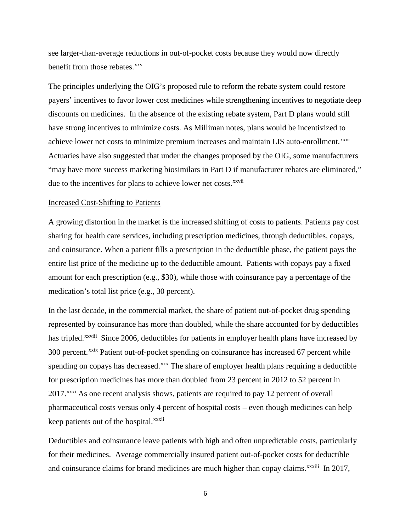see larger-than-average reductions in out-of-pocket costs because they would now directly benefit from those rebates.<sup>[xxv](#page-7-24)</sup>

The principles underlying the OIG's proposed rule to reform the rebate system could restore payers' incentives to favor lower cost medicines while strengthening incentives to negotiate deep discounts on medicines. In the absence of the existing rebate system, Part D plans would still have strong incentives to minimize costs. As Milliman notes, plans would be incentivized to achieve lower net costs to minimize premium increases and maintain LIS auto-enrollment.<sup>[xxvi](#page-7-25)</sup> due to the [i](#page-7-26)ncentives for plans to achieve lower net costs. *xxvii* Actuaries have also suggested that under the changes proposed by the OIG, some manufacturers "may have more success marketing biosimilars in Part D if manufacturer rebates are eliminated,"

### Increased Cost-Shifting to Patients

A growing distortion in the market is the increased shifting of costs to patients. Patients pay cost sharing for health care services, including prescription medicines, through deductibles, copays, and coinsurance. When a patient fills a prescription in the deductible phase, the patient pays the entire list price of the medicine up to the deductible amount. Patients with copays pay a fixed amount for each prescription (e.g., \$30), while those with coinsurance pay a percentage of the medication's total list price (e.g., 30 percent).

In the last decade, in the commercial market, the share of patient out-of-pocket drug spending represented by coinsurance has more than doubled, while the share accounted for by deductibles has tripled.<sup>xxviii</sup> [S](#page-7-27)ince 2006, deductibles for patients in employer health plans have increased by keep patients out of the hospital.<sup>xxxii</sup> 300 percent.<sup>[xxix](#page-8-0)</sup> Patient out-of-pocket spending on coinsurance has increased 67 percent while spending on copays has decreased.<sup>[xxx](#page-8-1)</sup> The share of employer health plans requiring a deductible for prescription medicines has more than doubled from 23 percent in 2012 to 52 percent in 2017.<sup>[xxxi](#page-8-2)</sup> As one recent analysis shows, patients are required to pay 12 percent of overall pharmaceutical costs versus only 4 percent of hospital costs – even though medicines can help

Deductibles and coinsurance leave patients with high and often unpredictable costs, particularly for their medicines. Average commercially insured patient out-of-pocket costs for deductible and coinsurance claims for brand medicines are much higher than copay claims. $\frac{x}{x}$ <sup>xxxiii</sup> [I](#page-8-3)n 2017,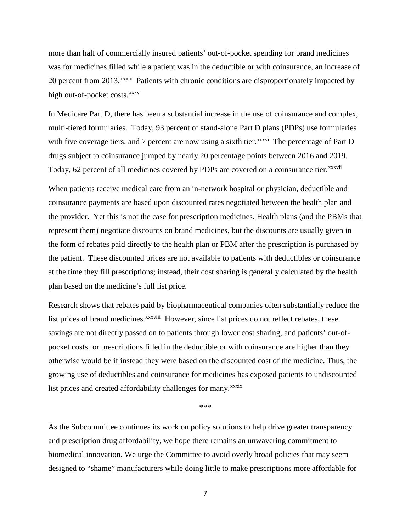more than half of commercially insured patients' out-of-pocket spending for brand medicines was for medicines filled while a patient was in the deductible or with coinsurance, an increase of 20 percent from 2013.<sup>xxxiv</sup> Patients with chronic conditions are disproportionately impacted by high out-of-pocket costs.<sup>xxxv</sup>

In Medicare Part D, there has been a substantial increase in the use of coinsurance and complex, multi-tiered formularies. Today, 93 percent of stand-alone Part D plans (PDPs) use formularies withfive coverage tiers, and 7 percent are now using a sixth tier.<sup>xxxvi</sup> The percentage of Part D Today, 62 percent of all medicines covered by PDPs are covered on a coinsurance tier. XXXVII drugs subject to coinsurance jumped by nearly 20 percentage points between 2016 and 2019.

When patients receive medical care from an in-network hospital or physician, deductible and coinsurance payments are based upon discounted rates negotiated between the health plan and the provider. Yet this is not the case for prescription medicines. Health plans (and the PBMs that represent them) negotiate discounts on brand medicines, but the discounts are usually given in the form of rebates paid directly to the health plan or PBM after the prescription is purchased by the patient. These discounted prices are not available to patients with deductibles or coinsurance at the time they fill prescriptions; instead, their cost sharing is generally calculated by the health plan based on the medicine's full list price.

Research shows that rebates paid by biopharmaceutical companies often substantially reduce the listprices of brand medicines.<sup>xxxviii</sup> However, since list prices do not reflect rebates, these list prices and created affordability challenges for many.<sup>[x](#page-8-8)xxix</sup> savings are not directly passed on to patients through lower cost sharing, and patients' out-ofpocket costs for prescriptions filled in the deductible or with coinsurance are higher than they otherwise would be if instead they were based on the discounted cost of the medicine. Thus, the growing use of deductibles and coinsurance for medicines has exposed patients to undiscounted

\*\*\*

As the Subcommittee continues its work on policy solutions to help drive greater transparency and prescription drug affordability, we hope there remains an unwavering commitment to biomedical innovation. We urge the Committee to avoid overly broad policies that may seem designed to "shame" manufacturers while doing little to make prescriptions more affordable for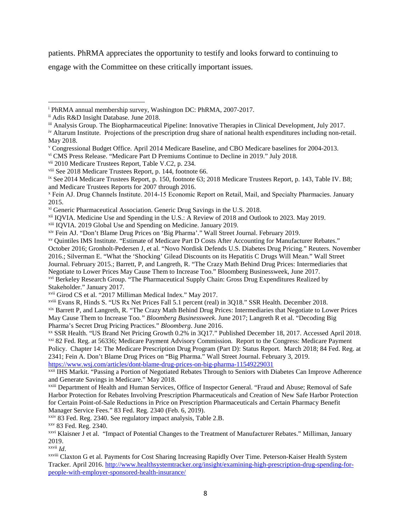patients. PhRMA appreciates the opportunity to testify and looks forward to continuing to

engage with the Committee on these critically important issues.

l

<span id="page-7-6"></span>vii 2010 Medicare Trustees Report, Table V.C2, p. 234.

<span id="page-7-12"></span>xiii IQVIA. 2019 Global Use and Spending on Medicine. January 2019.

<span id="page-7-13"></span><sup>xiv</sup> Fein AJ. "Don't Blame Drug Prices on 'Big Pharma'." Wall Street Journal. February 2019.<br><sup>xv</sup> Quintiles IMS Institute. "Estimate of Medicare Part D Costs After Accounting for Manufacturer Rebates."

October 2016; Gronholt-Pedersen J, et al. "Novo Nordisk Defends U.S. Diabetes Drug Pricing." Reuters. November

2016.; Silverman E. "What the 'Shocking' Gilead Discounts on its Hepatitis C Drugs Will Mean." Wall Street

Journal. February 2015.; Barrett, P, and Langreth, R. "The Crazy Math Behind Drug Prices: Intermediaries that

Negotiate to Lower Prices May Cause Them to Increase Too." Bloomberg Businessweek, June 2017.

<span id="page-7-17"></span>xviii Evans R, Hinds S. "US Rx Net Prices Fall 5.1 percent (real) in 3Q18." SSR Health. December 2018.

<span id="page-7-18"></span>xix Barrett P, and Langreth, R. "The Crazy Math Behind Drug Prices: Intermediaries that Negotiate to Lower Prices May Cause Them to Increase Too*." Bloomberg Businessweek*. June 2017; Langreth R et al. "Decoding Big Pharma's Secret Drug Pricing Practices." *Bloomberg*. June 2016.

<span id="page-7-20"></span><span id="page-7-19"></span>xx SSR Health. "US Brand Net Pricing Growth 0.2% in 3Q17." Published December 18, 2017. Accessed April 2018. xxi 82 Fed. Reg. at 56336; Medicare Payment Advisory Commission. Report to the Congress: Medicare Payment Policy. Chapter 14: The Medicare Prescription Drug Program (Part D): Status Report. March 2018; 84 Fed. Reg. at

2341; Fein A. Don't Blame Drug Prices on "Big Pharma." Wall Street Journal. February 3, 2019. <https://www.wsj.com/articles/dont-blame-drug-prices-on-big-pharma-11549229031>

<span id="page-7-21"></span>xxii IHS Markit. "Passing a Portion of Negotiated Rebates Through to Seniors with Diabetes Can Improve Adherence and Generate Savings in Medicare." May 2018.

<span id="page-7-22"></span>xxiii Department of Health and Human Services, Office of Inspector General. "Fraud and Abuse; Removal of Safe Harbor Protection for Rebates Involving Prescription Pharmaceuticals and Creation of New Safe Harbor Protection for Certain Point-of-Sale Reductions in Price on Prescription Pharmaceuticals and Certain Pharmacy Benefit Manager Service Fees." 83 Fed. Reg. 2340 (Feb. 6, 2019).

<span id="page-7-23"></span>xxiv 83 Fed. Reg. 2340. See regulatory impact analysis, Table 2.B.

<span id="page-7-24"></span>xxv 83 Fed. Reg. 2340.

<span id="page-7-25"></span>xxvi Klaisner J et al. "Impact of Potential Changes to the Treatment of Manufacturer Rebates." Milliman, January 2019.

<span id="page-7-26"></span>xxvii *Id*.

<span id="page-7-27"></span>xxviii Claxton G et al. Payments for Cost Sharing Increasing Rapidly Over Time. Peterson-Kaiser Health System Tracker. April 2016. http://www.healthsystemtracker.org/insight/examining-high-prescription-drug-spending-forpeople-with-employer-sponsored-health-insurance/

<span id="page-7-0"></span><sup>i</sup> PhRMA annual membership survey, Washington DC: PhRMA, 2007-2017.

<span id="page-7-1"></span>ii Adis R&D Insight Database. June 2018.

<span id="page-7-2"></span>iii Analysis Group. The Biopharmaceutical Pipeline: Innovative Therapies in Clinical Development, July 2017.

<span id="page-7-3"></span>iv Altarum Institute. Projections of the prescription drug share of national health expenditures including non-retail. May 2018.

<span id="page-7-4"></span><sup>v</sup> Congressional Budget Office. April 2014 Medicare Baseline, and CBO Medicare baselines for 2004-2013.

<span id="page-7-5"></span>vi CMS Press Release. "Medicare Part D Premiums Continue to Decline in 2019." July 2018.

<span id="page-7-7"></span>viii See 2018 Medicare Trustees Report, p. 144, footnote 66.

<span id="page-7-8"></span>ix See 2014 Medicare Trustees Report, p. 150, footnote 63; 2018 Medicare Trustees Report, p. 143, Table IV. B8; and Medicare Trustees Reports for 2007 through 2016.

<span id="page-7-9"></span><sup>x</sup> Fein AJ. Drug Channels Institute. 2014‐15 Economic Report on Retail, Mail, and Specialty Pharmacies. January 2015.

<span id="page-7-10"></span>xi Generic Pharmaceutical Association. Generic Drug Savings in the U.S. 2018.

<span id="page-7-11"></span>xii IQVIA. Medicine Use and Spending in the U.S.: A Review of 2018 and Outlook to 2023. May 2019.

<span id="page-7-14"></span>

<span id="page-7-15"></span><sup>&</sup>lt;sup>xvi</sup> Berkeley Research Group. "The Pharmaceutical Supply Chain: Gross Drug Expenditures Realized by Stakeholder." January 2017.

<span id="page-7-16"></span>xvii Girod CS et al. "2017 Milliman Medical Index." May 2017.